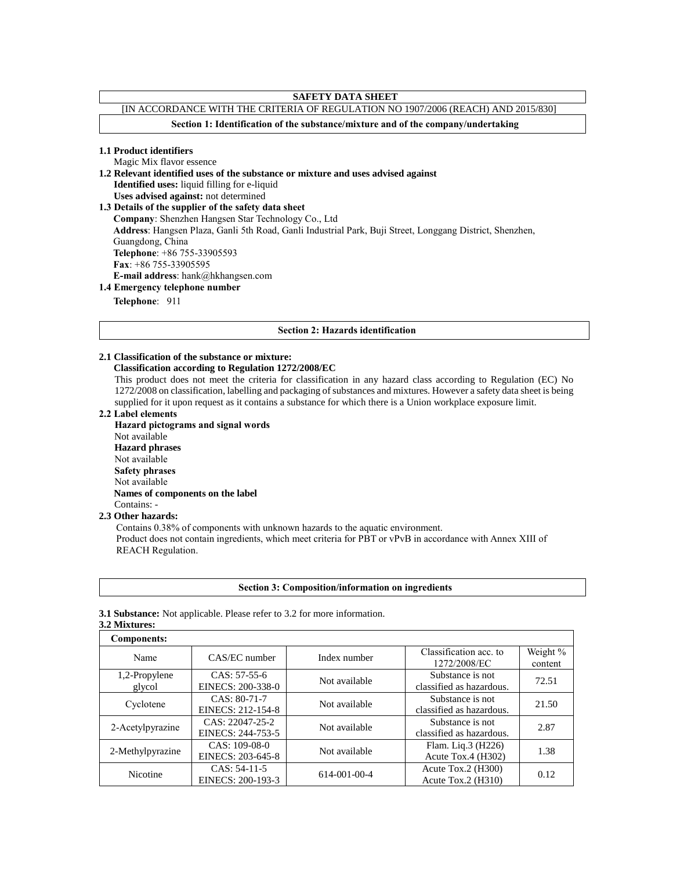# **SAFETY DATA SHEET**

# [IN ACCORDANCE WITH THE CRITERIA OF REGULATION NO 1907/2006 (REACH) AND 2015/830]

**Section 1: Identification of the substance/mixture and of the company/undertaking**

#### **1.1 Product identifiers**

Magic Mix flavor essence

**1.2 Relevant identified uses of the substance or mixture and uses advised against**

**Identified uses:** liquid filling for e-liquid

**Uses advised against:** not determined

**1.3 Details of the supplier of the safety data sheet**

**Company**: Shenzhen Hangsen Star Technology Co., Ltd

**Address**: Hangsen Plaza, Ganli 5th Road, Ganli Industrial Park, Buji Street, Longgang District, Shenzhen,

Guangdong, China

**Telephone**: +86 755-33905593 **Fax**: +86 755-33905595

**E-mail address**: hank@hkhangsen.com

# **1.4 Emergency telephone number**

**Telephone**: 911

#### **Section 2: Hazards identification**

# **2.1 Classification of the substance or mixture:**

# **Classification according to Regulation 1272/2008/EC**

This product does not meet the criteria for classification in any hazard class according to Regulation (EC) No 1272/2008 on classification, labelling and packaging of substances and mixtures. However a safety data sheet is being supplied for it upon request as it contains a substance for which there is a Union workplace exposure limit.

#### **2.2 Label elements**

**Hazard pictograms and signal words** Not available **Hazard phrases** Not available **Safety phrases** Not available  **Names of components on the label** Contains: -

#### **2.3 Other hazards:**

Contains 0.38% of components with unknown hazards to the aquatic environment. Product does not contain ingredients, which meet criteria for PBT or vPvB in accordance with Annex XIII of REACH Regulation.

| <b>Section 3: Composition/information on ingredients</b> |  |  |  |  |
|----------------------------------------------------------|--|--|--|--|
|                                                          |  |  |  |  |

#### **3.1 Substance:** Not applicable. Please refer to 3.2 for more information.

## **3.2 Mixtures:**

| Components:      |                   |                                      |                          |          |
|------------------|-------------------|--------------------------------------|--------------------------|----------|
| Name             | CAS/EC number     | Index number                         | Classification acc. to   | Weight % |
|                  |                   |                                      | 1272/2008/EC             | content  |
| 1,2-Propylene    | $CAS: 57-55-6$    | Not available                        | Substance is not         | 72.51    |
| glycol           | EINECS: 200-338-0 |                                      | classified as hazardous. |          |
| Cyclotene        | CAS: 80-71-7      | Not available                        | Substance is not         | 21.50    |
|                  | EINECS: 212-154-8 |                                      | classified as hazardous. |          |
| 2-Acetylpyrazine | CAS: 22047-25-2   | Not available                        | Substance is not         | 2.87     |
|                  | EINECS: 244-753-5 |                                      | classified as hazardous. |          |
| 2-Methylpyrazine | CAS: 109-08-0     | Not available                        | Flam. Liq.3 (H226)       | 1.38     |
|                  | EINECS: 203-645-8 |                                      | Acute Tox.4 $(H302)$     |          |
| Nicotine         | CAS: 54-11-5      |                                      | Acute Tox.2 $(H300)$     |          |
|                  | EINECS: 200-193-3 | 614-001-00-4<br>Acute Tox.2 $(H310)$ |                          | 0.12     |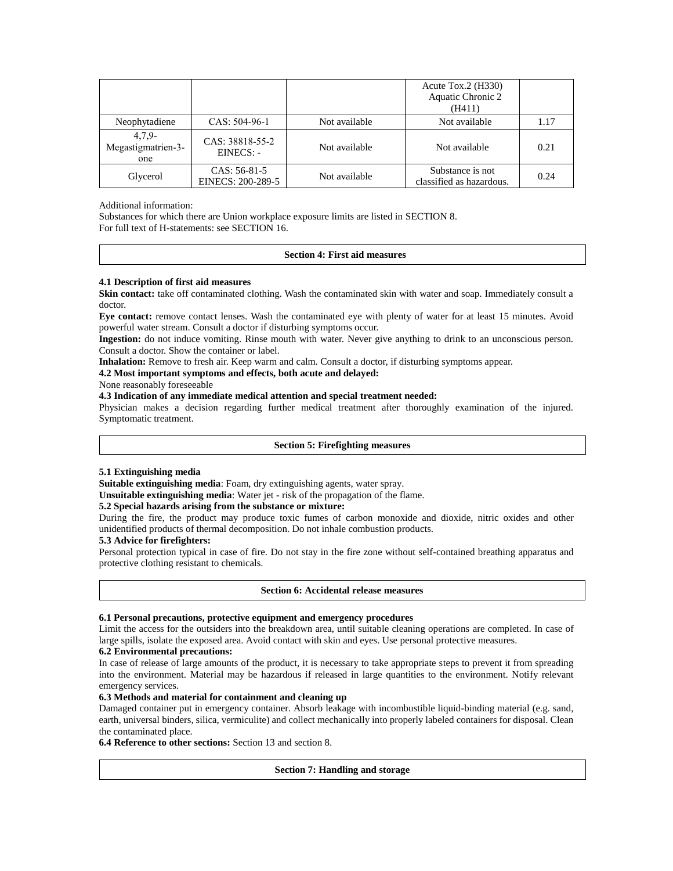|                                       |                                   |               | Acute Tox.2 $(H330)$<br>Aquatic Chronic 2<br>(H411) |      |
|---------------------------------------|-----------------------------------|---------------|-----------------------------------------------------|------|
| Neophytadiene                         | CAS: 504-96-1                     | Not available | Not available                                       | 1.17 |
| $4,7.9-$<br>Megastigmatrien-3-<br>one | CAS: 38818-55-2<br>EINECS: -      | Not available | Not available                                       | 0.21 |
| Glycerol                              | CAS: 56-81-5<br>EINECS: 200-289-5 | Not available | Substance is not<br>classified as hazardous.        | 0.24 |

## Additional information:

Substances for which there are Union workplace exposure limits are listed in SECTION 8. For full text of H-statements: see SECTION 16.

#### **Section 4: First aid measures**

## **4.1 Description of first aid measures**

**Skin contact:** take off contaminated clothing. Wash the contaminated skin with water and soap. Immediately consult a doctor.

**Eye contact:** remove contact lenses. Wash the contaminated eye with plenty of water for at least 15 minutes. Avoid powerful water stream. Consult a doctor if disturbing symptoms occur.

**Ingestion:** do not induce vomiting. Rinse mouth with water. Never give anything to drink to an unconscious person. Consult a doctor. Show the container or label.

**Inhalation:** Remove to fresh air. Keep warm and calm. Consult a doctor, if disturbing symptoms appear.

# **4.2 Most important symptoms and effects, both acute and delayed:**

None reasonably foreseeable

## **4.3 Indication of any immediate medical attention and special treatment needed:**

Physician makes a decision regarding further medical treatment after thoroughly examination of the injured. Symptomatic treatment.

## **Section 5: Firefighting measures**

## **5.1 Extinguishing media**

**Suitable extinguishing media**: Foam, dry extinguishing agents, water spray.

**Unsuitable extinguishing media**: Water jet - risk of the propagation of the flame.

## **5.2 Special hazards arising from the substance or mixture:**

During the fire, the product may produce toxic fumes of carbon monoxide and dioxide, nitric oxides and other unidentified products of thermal decomposition. Do not inhale combustion products.

## **5.3 Advice for firefighters:**

Personal protection typical in case of fire. Do not stay in the fire zone without self-contained breathing apparatus and protective clothing resistant to chemicals.

## **Section 6: Accidental release measures**

## **6.1 Personal precautions, protective equipment and emergency procedures**

Limit the access for the outsiders into the breakdown area, until suitable cleaning operations are completed. In case of large spills, isolate the exposed area. Avoid contact with skin and eyes. Use personal protective measures.

#### **6.2 Environmental precautions:**

In case of release of large amounts of the product, it is necessary to take appropriate steps to prevent it from spreading into the environment. Material may be hazardous if released in large quantities to the environment. Notify relevant emergency services.

### **6.3 Methods and material for containment and cleaning up**

Damaged container put in emergency container. Absorb leakage with incombustible liquid-binding material (e.g. sand, earth, universal binders, silica, vermiculite) and collect mechanically into properly labeled containers for disposal. Clean the contaminated place.

**6.4 Reference to other sections:** Section 13 and section 8.

## **Section 7: Handling and storage**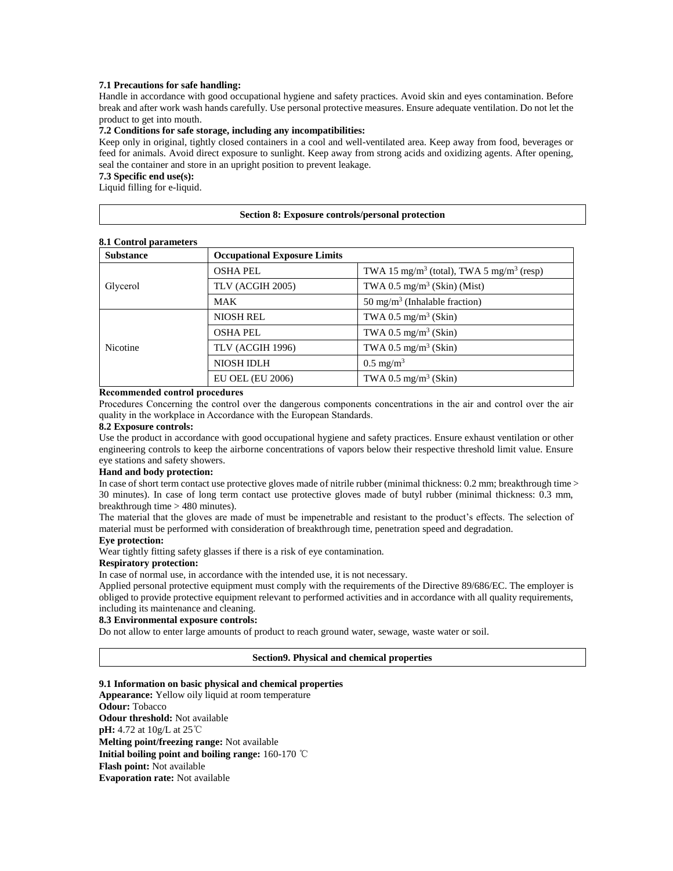## **7.1 Precautions for safe handling:**

Handle in accordance with good occupational hygiene and safety practices. Avoid skin and eyes contamination. Before break and after work wash hands carefully. Use personal protective measures. Ensure adequate ventilation. Do not let the product to get into mouth.

#### **7.2 Conditions for safe storage, including any incompatibilities:**

Keep only in original, tightly closed containers in a cool and well-ventilated area. Keep away from food, beverages or feed for animals. Avoid direct exposure to sunlight. Keep away from strong acids and oxidizing agents. After opening, seal the container and store in an upright position to prevent leakage.

## **7.3 Specific end use(s):**

Liquid filling for e-liquid.

## **Section 8: Exposure controls/personal protection**

## **8.1 Control parameters**

| <b>Substance</b> | <b>Occupational Exposure Limits</b> |                                                                  |  |
|------------------|-------------------------------------|------------------------------------------------------------------|--|
|                  | <b>OSHA PEL</b>                     | TWA 15 mg/m <sup>3</sup> (total), TWA 5 mg/m <sup>3</sup> (resp) |  |
| Glycerol         | TLV (ACGIH 2005)                    | TWA 0.5 mg/m <sup>3</sup> (Skin) (Mist)                          |  |
|                  | MAK                                 | 50 mg/m <sup>3</sup> (Inhalable fraction)                        |  |
| <b>Nicotine</b>  | <b>NIOSH REL</b>                    | TWA 0.5 mg/m <sup>3</sup> (Skin)                                 |  |
|                  | <b>OSHA PEL</b>                     | TWA 0.5 mg/m <sup>3</sup> (Skin)                                 |  |
|                  | TLV (ACGIH 1996)                    | TWA 0.5 mg/m <sup>3</sup> (Skin)                                 |  |
|                  | <b>NIOSH IDLH</b>                   | $0.5 \text{ mg/m}^3$                                             |  |
|                  | <b>EU OEL (EU 2006)</b>             | TWA 0.5 mg/m <sup>3</sup> (Skin)                                 |  |

## **Recommended control procedures**

Procedures Concerning the control over the dangerous components concentrations in the air and control over the air quality in the workplace in Accordance with the European Standards.

#### **8.2 Exposure controls:**

Use the product in accordance with good occupational hygiene and safety practices. Ensure exhaust ventilation or other engineering controls to keep the airborne concentrations of vapors below their respective threshold limit value. Ensure eye stations and safety showers.

## **Hand and body protection:**

In case of short term contact use protective gloves made of nitrile rubber (minimal thickness: 0.2 mm; breakthrough time > 30 minutes). In case of long term contact use protective gloves made of butyl rubber (minimal thickness: 0.3 mm, breakthrough time > 480 minutes).

The material that the gloves are made of must be impenetrable and resistant to the product's effects. The selection of material must be performed with consideration of breakthrough time, penetration speed and degradation.

# **Eye protection:**

Wear tightly fitting safety glasses if there is a risk of eye contamination.

## **Respiratory protection:**

In case of normal use, in accordance with the intended use, it is not necessary.

Applied personal protective equipment must comply with the requirements of the Directive 89/686/EC. The employer is obliged to provide protective equipment relevant to performed activities and in accordance with all quality requirements, including its maintenance and cleaning.

#### **8.3 Environmental exposure controls:**

Do not allow to enter large amounts of product to reach ground water, sewage, waste water or soil.

#### **Section9. Physical and chemical properties**

### **9.1 Information on basic physical and chemical properties**

**Appearance:** Yellow oily liquid at room temperature **Odour:** Tobacco **Odour threshold:** Not available **pH:** 4.72 at 10g/L at 25℃ **Melting point/freezing range:** Not available **Initial boiling point and boiling range:** 160-170 ℃ **Flash point:** Not available **Evaporation rate:** Not available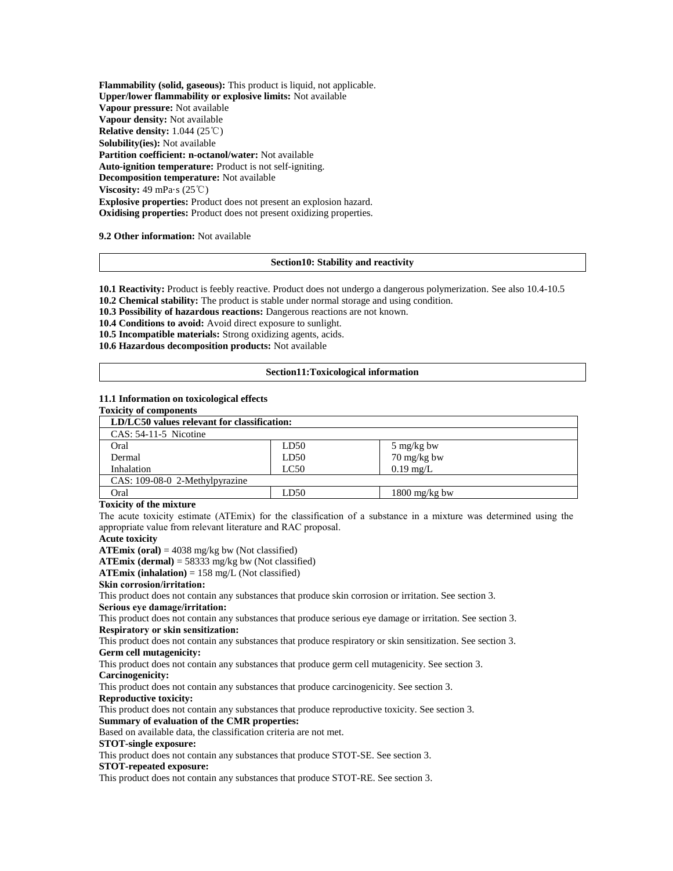**Flammability (solid, gaseous):** This product is liquid, not applicable. **Upper/lower flammability or explosive limits:** Not available **Vapour pressure:** Not available **Vapour density:** Not available **Relative density:** 1.044 (25℃) **Solubility(ies):** Not available **Partition coefficient: n-octanol/water:** Not available **Auto-ignition temperature:** Product is not self-igniting. **Decomposition temperature:** Not available **Viscosity:** 49 mPa·s (25℃) **Explosive properties:** Product does not present an explosion hazard. **Oxidising properties:** Product does not present oxidizing properties.

#### **9.2 Other information:** Not available

#### **Section10: Stability and reactivity**

**10.1 Reactivity:** Product is feebly reactive. Product does not undergo a dangerous polymerization. See also 10.4-10.5 **10.2 Chemical stability:** The product is stable under normal storage and using condition.

**10.3 Possibility of hazardous reactions:** Dangerous reactions are not known.

**10.4 Conditions to avoid:** Avoid direct exposure to sunlight.

**10.5 Incompatible materials:** Strong oxidizing agents, acids.

**10.6 Hazardous decomposition products:** Not available

#### **Section11:Toxicological information**

#### **11.1 Information on toxicological effects**

## **Toxicity of components**

| LD/LC50 values relevant for classification: |      |                         |
|---------------------------------------------|------|-------------------------|
| $CAS: 54-11-5$ Nicotine                     |      |                         |
| Oral                                        | LD50 | 5 mg/kg bw              |
| Dermal                                      | LD50 | 70 mg/kg bw             |
| Inhalation                                  | LC50 | $0.19$ mg/L             |
| CAS: 109-08-0 2-Methylpyrazine              |      |                         |
| Oral                                        | LD50 | $1800 \text{ mg/kg}$ bw |

#### **Toxicity of the mixture**

The acute toxicity estimate (ATEmix) for the classification of a substance in a mixture was determined using the appropriate value from relevant literature and RAC proposal.

# **Acute toxicity**

**ATEmix** (oral) =  $4038$  mg/kg bw (Not classified)

**ATEmix (dermal)** = 58333 mg/kg bw (Not classified)

#### **ATEmix (inhalation)** = 158 mg/L (Not classified)

**Skin corrosion/irritation:**

This product does not contain any substances that produce skin corrosion or irritation. See section 3.

# **Serious eye damage/irritation:**

This product does not contain any substances that produce serious eye damage or irritation. See section 3. **Respiratory or skin sensitization:**

This product does not contain any substances that produce respiratory or skin sensitization. See section 3. **Germ cell mutagenicity:**

This product does not contain any substances that produce germ cell mutagenicity. See section 3.

## **Carcinogenicity:**

This product does not contain any substances that produce carcinogenicity. See section 3.

#### **Reproductive toxicity:**

This product does not contain any substances that produce reproductive toxicity. See section 3.

## **Summary of evaluation of the CMR properties:**

Based on available data, the classification criteria are not met.

## **STOT-single exposure:**

This product does not contain any substances that produce STOT-SE. See section 3.

#### **STOT-repeated exposure:**

This product does not contain any substances that produce STOT-RE. See section 3.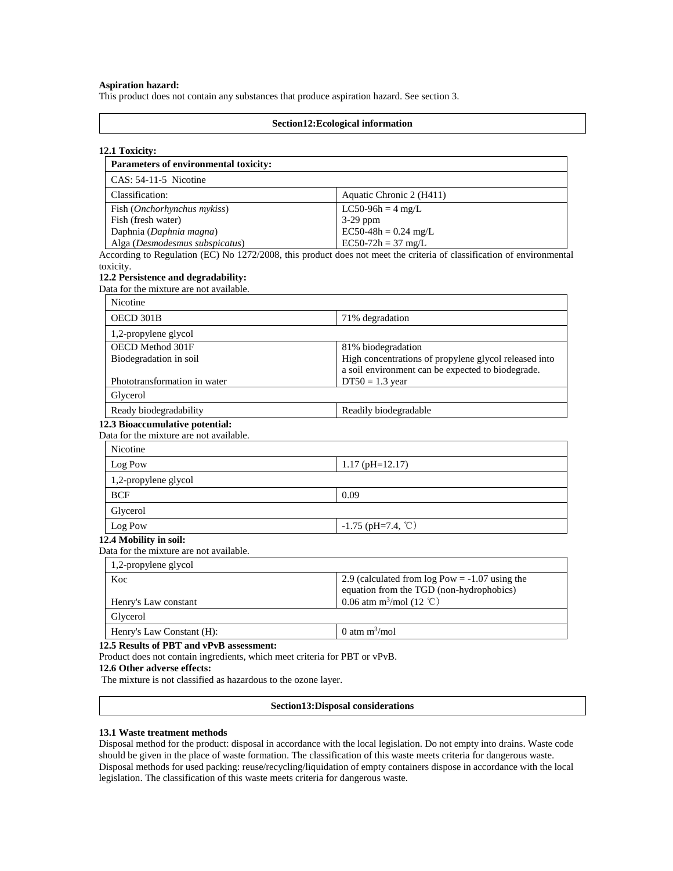## **Aspiration hazard:**

This product does not contain any substances that produce aspiration hazard. See section 3.

#### **Section12:Ecological information**

## **12.1 Toxicity:**

| Parameters of environmental toxicity: |                          |  |
|---------------------------------------|--------------------------|--|
| $CAS: 54-11-5$ Nicotine               |                          |  |
| Classification:                       | Aquatic Chronic 2 (H411) |  |
| Fish ( <i>Onchorhynchus mykiss</i> )  | $LC50-96h = 4 mg/L$      |  |
| Fish (fresh water)<br>$3-29$ ppm      |                          |  |
| Daphnia (Daphnia magna)               | $EC50-48h = 0.24$ mg/L   |  |
| Alga (Desmodesmus subspicatus)        | $EC50-72h = 37$ mg/L     |  |

According to Regulation (EC) No 1272/2008, this product does not meet the criteria of classification of environmental toxicity.

#### **12.2 Persistence and degradability:**

Data for the mixture are not available.

| <b>Nicotine</b>                        |                                                       |
|----------------------------------------|-------------------------------------------------------|
| OECD 301B                              | 71% degradation                                       |
| 1,2-propylene glycol                   |                                                       |
| OECD Method 301F                       | 81% biodegradation                                    |
| Biodegradation in soil                 | High concentrations of propylene glycol released into |
|                                        | a soil environment can be expected to biodegrade.     |
| Phototransformation in water           | $DT50 = 1.3$ year                                     |
| Glycerol                               |                                                       |
| Ready biodegradability                 | Readily biodegradable                                 |
| <b>12.3 Bioaccumulative potential:</b> |                                                       |

## Data for the mixture are not available.

| $1.17$ (pH=12.17)    |
|----------------------|
|                      |
| 0.09                 |
|                      |
| $-1.75$ (pH=7.4, °C) |
|                      |

#### **12.4 Mobility in soil:**

Data for the mixture are not available.

| 1,2-propylene glycol      |                                                                                              |
|---------------------------|----------------------------------------------------------------------------------------------|
| Koc                       | 2.9 (calculated from $log Pow = -1.07$ using the<br>equation from the TGD (non-hydrophobics) |
| Henry's Law constant      | 0.06 atm m <sup>3</sup> /mol (12 °C)                                                         |
| Glycerol                  |                                                                                              |
| Henry's Law Constant (H): | 0 atm $m^3$ /mol                                                                             |

## **12.5 Results of PBT and vPvB assessment:**

Product does not contain ingredients, which meet criteria for PBT or vPvB.

**12.6 Other adverse effects:**

The mixture is not classified as hazardous to the ozone layer.

#### **Section13:Disposal considerations**

#### **13.1 Waste treatment methods**

Disposal method for the product: disposal in accordance with the local legislation. Do not empty into drains. Waste code should be given in the place of waste formation. The classification of this waste meets criteria for dangerous waste. Disposal methods for used packing: reuse/recycling/liquidation of empty containers dispose in accordance with the local legislation. The classification of this waste meets criteria for dangerous waste.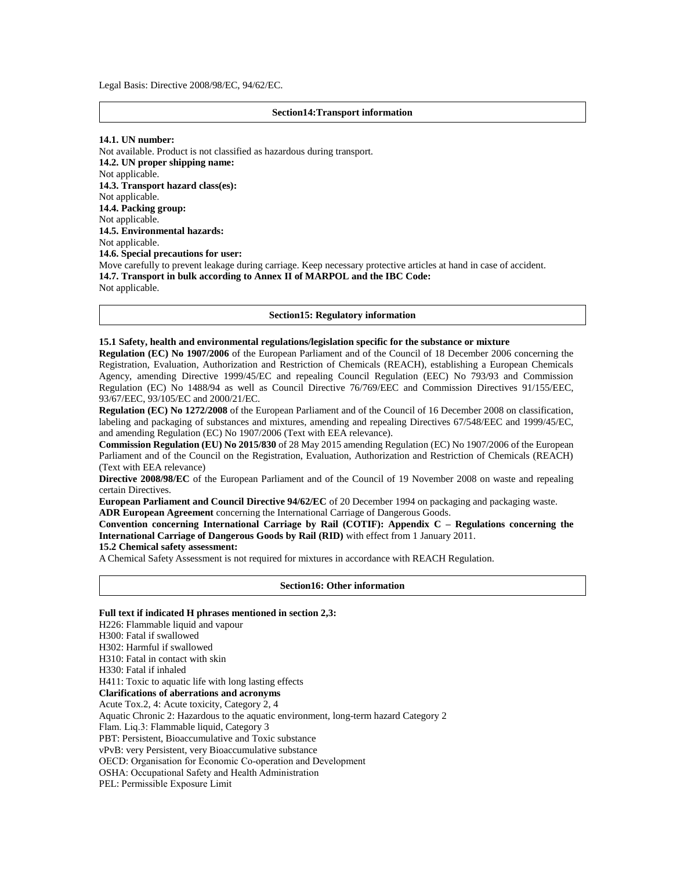Legal Basis: Directive 2008/98/EC, 94/62/EC.

#### **Section14:Transport information**

**14.1. UN number:**

Not available. Product is not classified as hazardous during transport. **14.2. UN proper shipping name:**  Not applicable. **14.3. Transport hazard class(es):**  Not applicable. **14.4. Packing group:**  Not applicable. **14.5. Environmental hazards:**  Not applicable. **14.6. Special precautions for user:**  Move carefully to prevent leakage during carriage. Keep necessary protective articles at hand in case of accident. **14.7. Transport in bulk according to Annex II of MARPOL and the IBC Code:**  Not applicable.

#### **Section15: Regulatory information**

#### **15.1 Safety, health and environmental regulations/legislation specific for the substance or mixture**

**Regulation (EC) No 1907/2006** of the European Parliament and of the Council of 18 December 2006 concerning the Registration, Evaluation, Authorization and Restriction of Chemicals (REACH), establishing a European Chemicals Agency, amending Directive 1999/45/EC and repealing Council Regulation (EEC) No 793/93 and Commission Regulation (EC) No 1488/94 as well as Council Directive 76/769/EEC and Commission Directives 91/155/EEC, 93/67/EEC, 93/105/EC and 2000/21/EC.

**Regulation (EC) No 1272/2008** of the European Parliament and of the Council of 16 December 2008 on classification, labeling and packaging of substances and mixtures, amending and repealing Directives 67/548/EEC and 1999/45/EC, and amending Regulation (EC) No 1907/2006 (Text with EEA relevance).

**Commission Regulation (EU) No 2015/830** of 28 May 2015 amending Regulation (EC) No 1907/2006 of the European Parliament and of the Council on the Registration, Evaluation, Authorization and Restriction of Chemicals (REACH) (Text with EEA relevance)

**Directive 2008/98/EC** of the European Parliament and of the Council of 19 November 2008 on waste and repealing certain Directives.

**European Parliament and Council Directive 94/62/EC** of 20 December 1994 on packaging and packaging waste. **ADR European Agreement** concerning the International Carriage of Dangerous Goods.

**Convention concerning International Carriage by Rail (COTIF): Appendix C – Regulations concerning the International Carriage of Dangerous Goods by Rail (RID)** with effect from 1 January 2011.

## **15.2 Chemical safety assessment:**

A Chemical Safety Assessment is not required for mixtures in accordance with REACH Regulation.

#### **Section16: Other information**

#### **Full text if indicated H phrases mentioned in section 2,3:**

H226: Flammable liquid and vapour H300: Fatal if swallowed H302: Harmful if swallowed H310: Fatal in contact with skin H330: Fatal if inhaled H411: Toxic to aquatic life with long lasting effects **Clarifications of aberrations and acronyms** Acute Tox.2, 4: Acute toxicity, Category 2, 4 Aquatic Chronic 2: Hazardous to the aquatic environment, long-term hazard Category 2 Flam. Liq.3: Flammable liquid, Category 3 PBT: Persistent, Bioaccumulative and Toxic substance vPvB: very Persistent, very Bioaccumulative substance OECD: Organisation for Economic Co-operation and Development OSHA: Occupational Safety and Health Administration PEL: Permissible Exposure Limit